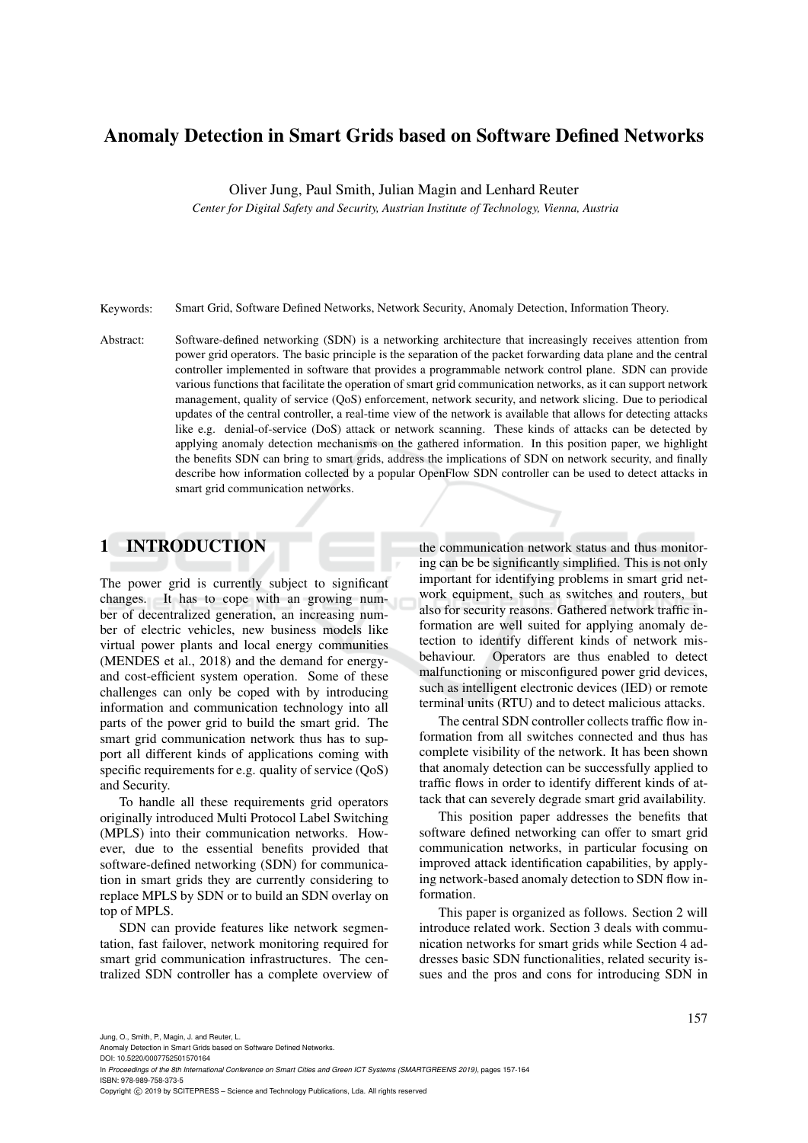# Anomaly Detection in Smart Grids based on Software Defined Networks

Oliver Jung, Paul Smith, Julian Magin and Lenhard Reuter

*Center for Digital Safety and Security, Austrian Institute of Technology, Vienna, Austria*

Keywords: Smart Grid, Software Defined Networks, Network Security, Anomaly Detection, Information Theory.

Abstract: Software-defined networking (SDN) is a networking architecture that increasingly receives attention from power grid operators. The basic principle is the separation of the packet forwarding data plane and the central controller implemented in software that provides a programmable network control plane. SDN can provide various functions that facilitate the operation of smart grid communication networks, as it can support network management, quality of service (QoS) enforcement, network security, and network slicing. Due to periodical updates of the central controller, a real-time view of the network is available that allows for detecting attacks like e.g. denial-of-service (DoS) attack or network scanning. These kinds of attacks can be detected by applying anomaly detection mechanisms on the gathered information. In this position paper, we highlight the benefits SDN can bring to smart grids, address the implications of SDN on network security, and finally describe how information collected by a popular OpenFlow SDN controller can be used to detect attacks in smart grid communication networks.

## 1 INTRODUCTION

The power grid is currently subject to significant changes. It has to cope with an growing number of decentralized generation, an increasing number of electric vehicles, new business models like virtual power plants and local energy communities (MENDES et al., 2018) and the demand for energyand cost-efficient system operation. Some of these challenges can only be coped with by introducing information and communication technology into all parts of the power grid to build the smart grid. The smart grid communication network thus has to support all different kinds of applications coming with specific requirements for e.g. quality of service (QoS) and Security.

To handle all these requirements grid operators originally introduced Multi Protocol Label Switching (MPLS) into their communication networks. However, due to the essential benefits provided that software-defined networking (SDN) for communication in smart grids they are currently considering to replace MPLS by SDN or to build an SDN overlay on top of MPLS.

SDN can provide features like network segmentation, fast failover, network monitoring required for smart grid communication infrastructures. The centralized SDN controller has a complete overview of

the communication network status and thus monitoring can be be significantly simplified. This is not only important for identifying problems in smart grid network equipment, such as switches and routers, but also for security reasons. Gathered network traffic information are well suited for applying anomaly detection to identify different kinds of network misbehaviour. Operators are thus enabled to detect malfunctioning or misconfigured power grid devices, such as intelligent electronic devices (IED) or remote terminal units (RTU) and to detect malicious attacks.

The central SDN controller collects traffic flow information from all switches connected and thus has complete visibility of the network. It has been shown that anomaly detection can be successfully applied to traffic flows in order to identify different kinds of attack that can severely degrade smart grid availability.

This position paper addresses the benefits that software defined networking can offer to smart grid communication networks, in particular focusing on improved attack identification capabilities, by applying network-based anomaly detection to SDN flow information.

This paper is organized as follows. Section 2 will introduce related work. Section 3 deals with communication networks for smart grids while Section 4 addresses basic SDN functionalities, related security issues and the pros and cons for introducing SDN in

In *Proceedings of the 8th International Conference on Smart Cities and Green ICT Systems (SMARTGREENS 2019)*, pages 157-164 ISBN: 978-989-758-373-5

Anomaly Detection in Smart Grids based on Software Defined Networks. DOI: 10.5220/0007752501570164

Copyright (C) 2019 by SCITEPRESS - Science and Technology Publications, Lda. All rights reserved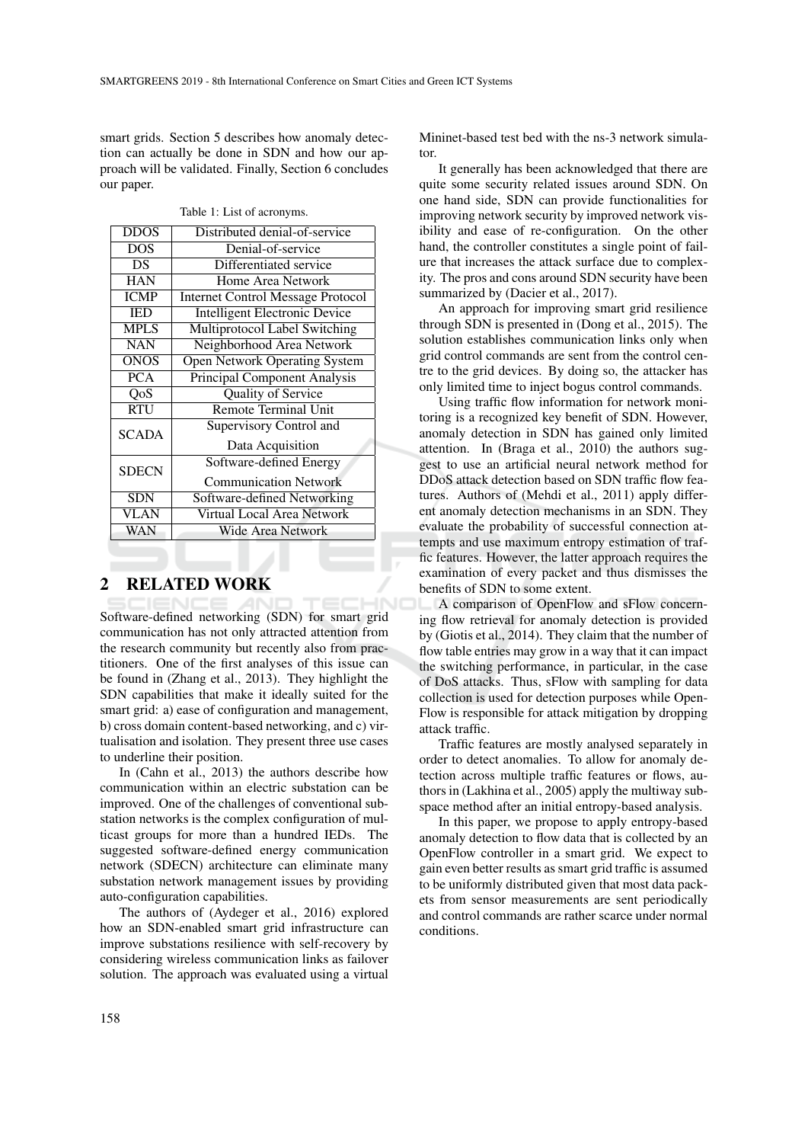smart grids. Section 5 describes how anomaly detection can actually be done in SDN and how our approach will be validated. Finally, Section 6 concludes our paper.

Table 1: List of acronyms.

| <b>DDOS</b>  | Distributed denial-of-service            |
|--------------|------------------------------------------|
| <b>DOS</b>   | Denial-of-service                        |
| DS           | Differentiated service                   |
| <b>HAN</b>   | Home Area Network                        |
| <b>ICMP</b>  | <b>Internet Control Message Protocol</b> |
| <b>IED</b>   | <b>Intelligent Electronic Device</b>     |
| <b>MPLS</b>  | Multiprotocol Label Switching            |
| <b>NAN</b>   | Neighborhood Area Network                |
| <b>ONOS</b>  | <b>Open Network Operating System</b>     |
| <b>PCA</b>   | <b>Principal Component Analysis</b>      |
| QoS          | Quality of Service                       |
| <b>RTU</b>   | <b>Remote Terminal Unit</b>              |
| <b>SCADA</b> | <b>Supervisory Control and</b>           |
|              | Data Acquisition                         |
| <b>SDECN</b> | Software-defined Energy                  |
|              | <b>Communication Network</b>             |
| <b>SDN</b>   | Software-defined Networking              |
| VLAN         | Virtual Local Area Network               |
| WAN          | Wide Area Network                        |

## 2 RELATED WORK

Software-defined networking (SDN) for smart grid communication has not only attracted attention from the research community but recently also from practitioners. One of the first analyses of this issue can be found in (Zhang et al., 2013). They highlight the SDN capabilities that make it ideally suited for the smart grid: a) ease of configuration and management, b) cross domain content-based networking, and c) virtualisation and isolation. They present three use cases to underline their position.

In (Cahn et al., 2013) the authors describe how communication within an electric substation can be improved. One of the challenges of conventional substation networks is the complex configuration of multicast groups for more than a hundred IEDs. The suggested software-defined energy communication network (SDECN) architecture can eliminate many substation network management issues by providing auto-configuration capabilities.

The authors of (Aydeger et al., 2016) explored how an SDN-enabled smart grid infrastructure can improve substations resilience with self-recovery by considering wireless communication links as failover solution. The approach was evaluated using a virtual

Mininet-based test bed with the ns-3 network simulator.

It generally has been acknowledged that there are quite some security related issues around SDN. On one hand side, SDN can provide functionalities for improving network security by improved network visibility and ease of re-configuration. On the other hand, the controller constitutes a single point of failure that increases the attack surface due to complexity. The pros and cons around SDN security have been summarized by (Dacier et al., 2017).

An approach for improving smart grid resilience through SDN is presented in (Dong et al., 2015). The solution establishes communication links only when grid control commands are sent from the control centre to the grid devices. By doing so, the attacker has only limited time to inject bogus control commands.

Using traffic flow information for network monitoring is a recognized key benefit of SDN. However, anomaly detection in SDN has gained only limited attention. In (Braga et al., 2010) the authors suggest to use an artificial neural network method for DDoS attack detection based on SDN traffic flow features. Authors of (Mehdi et al., 2011) apply different anomaly detection mechanisms in an SDN. They evaluate the probability of successful connection attempts and use maximum entropy estimation of traffic features. However, the latter approach requires the examination of every packet and thus dismisses the benefits of SDN to some extent.

A comparison of OpenFlow and sFlow concerning flow retrieval for anomaly detection is provided by (Giotis et al., 2014). They claim that the number of flow table entries may grow in a way that it can impact the switching performance, in particular, in the case of DoS attacks. Thus, sFlow with sampling for data collection is used for detection purposes while Open-Flow is responsible for attack mitigation by dropping attack traffic.

Traffic features are mostly analysed separately in order to detect anomalies. To allow for anomaly detection across multiple traffic features or flows, authors in (Lakhina et al., 2005) apply the multiway subspace method after an initial entropy-based analysis.

In this paper, we propose to apply entropy-based anomaly detection to flow data that is collected by an OpenFlow controller in a smart grid. We expect to gain even better results as smart grid traffic is assumed to be uniformly distributed given that most data packets from sensor measurements are sent periodically and control commands are rather scarce under normal conditions.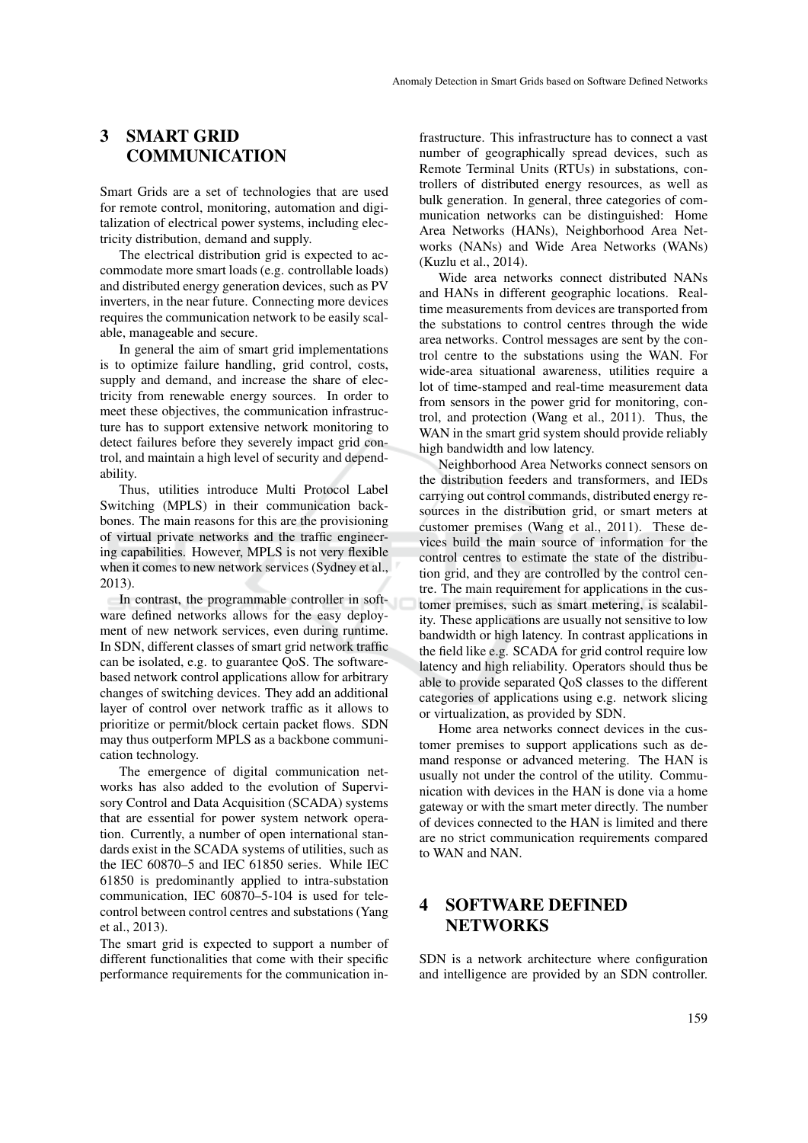## 3 SMART GRID **COMMUNICATION**

Smart Grids are a set of technologies that are used for remote control, monitoring, automation and digitalization of electrical power systems, including electricity distribution, demand and supply.

The electrical distribution grid is expected to accommodate more smart loads (e.g. controllable loads) and distributed energy generation devices, such as PV inverters, in the near future. Connecting more devices requires the communication network to be easily scalable, manageable and secure.

In general the aim of smart grid implementations is to optimize failure handling, grid control, costs, supply and demand, and increase the share of electricity from renewable energy sources. In order to meet these objectives, the communication infrastructure has to support extensive network monitoring to detect failures before they severely impact grid control, and maintain a high level of security and dependability.

Thus, utilities introduce Multi Protocol Label Switching (MPLS) in their communication backbones. The main reasons for this are the provisioning of virtual private networks and the traffic engineering capabilities. However, MPLS is not very flexible when it comes to new network services (Sydney et al., 2013).

In contrast, the programmable controller in software defined networks allows for the easy deployment of new network services, even during runtime. In SDN, different classes of smart grid network traffic can be isolated, e.g. to guarantee QoS. The softwarebased network control applications allow for arbitrary changes of switching devices. They add an additional layer of control over network traffic as it allows to prioritize or permit/block certain packet flows. SDN may thus outperform MPLS as a backbone communication technology.

The emergence of digital communication networks has also added to the evolution of Supervisory Control and Data Acquisition (SCADA) systems that are essential for power system network operation. Currently, a number of open international standards exist in the SCADA systems of utilities, such as the IEC 60870–5 and IEC 61850 series. While IEC 61850 is predominantly applied to intra-substation communication, IEC 60870–5-104 is used for telecontrol between control centres and substations (Yang et al., 2013).

The smart grid is expected to support a number of different functionalities that come with their specific performance requirements for the communication in-

frastructure. This infrastructure has to connect a vast number of geographically spread devices, such as Remote Terminal Units (RTUs) in substations, controllers of distributed energy resources, as well as bulk generation. In general, three categories of communication networks can be distinguished: Home Area Networks (HANs), Neighborhood Area Networks (NANs) and Wide Area Networks (WANs) (Kuzlu et al., 2014).

Wide area networks connect distributed NANs and HANs in different geographic locations. Realtime measurements from devices are transported from the substations to control centres through the wide area networks. Control messages are sent by the control centre to the substations using the WAN. For wide-area situational awareness, utilities require a lot of time-stamped and real-time measurement data from sensors in the power grid for monitoring, control, and protection (Wang et al., 2011). Thus, the WAN in the smart grid system should provide reliably high bandwidth and low latency.

Neighborhood Area Networks connect sensors on the distribution feeders and transformers, and IEDs carrying out control commands, distributed energy resources in the distribution grid, or smart meters at customer premises (Wang et al., 2011). These devices build the main source of information for the control centres to estimate the state of the distribution grid, and they are controlled by the control centre. The main requirement for applications in the customer premises, such as smart metering, is scalability. These applications are usually not sensitive to low bandwidth or high latency. In contrast applications in the field like e.g. SCADA for grid control require low latency and high reliability. Operators should thus be able to provide separated QoS classes to the different categories of applications using e.g. network slicing or virtualization, as provided by SDN.

Home area networks connect devices in the customer premises to support applications such as demand response or advanced metering. The HAN is usually not under the control of the utility. Communication with devices in the HAN is done via a home gateway or with the smart meter directly. The number of devices connected to the HAN is limited and there are no strict communication requirements compared to WAN and NAN.

## 4 SOFTWARE DEFINED **NETWORKS**

SDN is a network architecture where configuration and intelligence are provided by an SDN controller.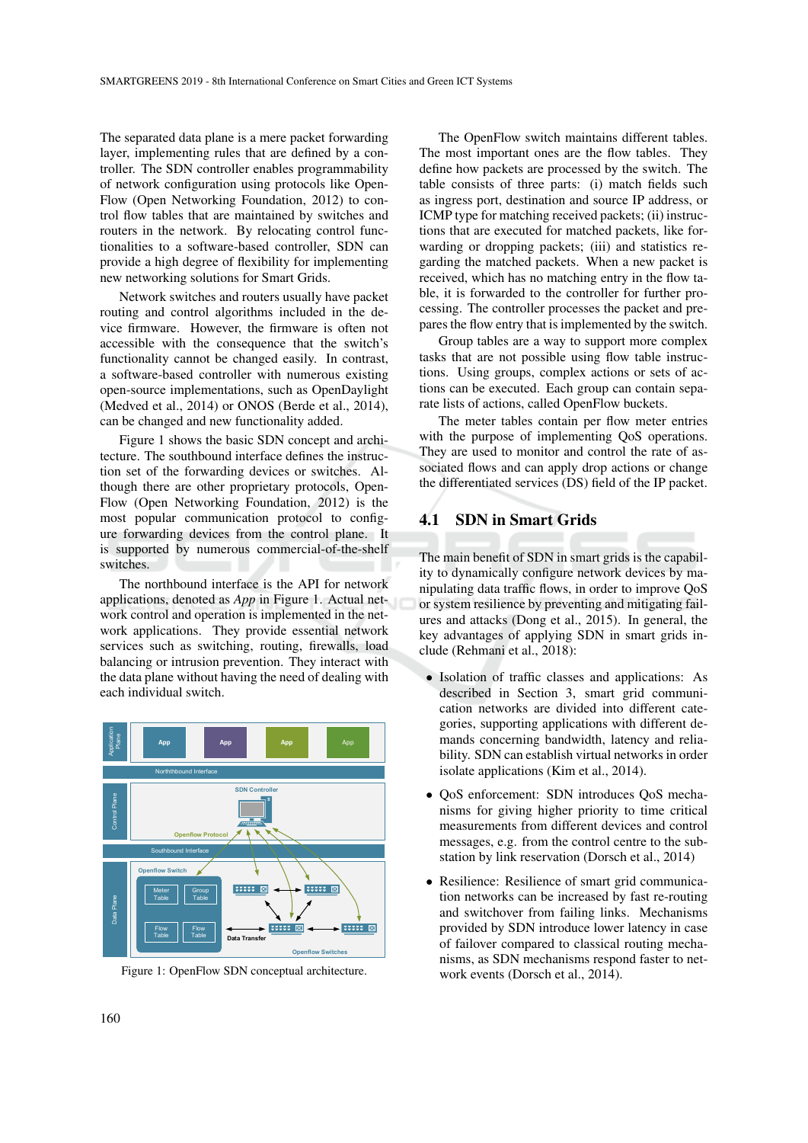The separated data plane is a mere packet forwarding layer, implementing rules that are defined by a controller. The SDN controller enables programmability of network configuration using protocols like Open-Flow (Open Networking Foundation, 2012) to control flow tables that are maintained by switches and routers in the network. By relocating control functionalities to a software-based controller, SDN can provide a high degree of flexibility for implementing new networking solutions for Smart Grids.

Network switches and routers usually have packet routing and control algorithms included in the device firmware. However, the firmware is often not accessible with the consequence that the switch's functionality cannot be changed easily. In contrast, a software-based controller with numerous existing open-source implementations, such as OpenDaylight (Medved et al., 2014) or ONOS (Berde et al., 2014), can be changed and new functionality added.

Figure 1 shows the basic SDN concept and architecture. The southbound interface defines the instruction set of the forwarding devices or switches. Although there are other proprietary protocols, Open-Flow (Open Networking Foundation, 2012) is the most popular communication protocol to configure forwarding devices from the control plane. It is supported by numerous commercial-of-the-shelf switches.

The northbound interface is the API for network applications, denoted as *App* in Figure 1. Actual network control and operation is implemented in the network applications. They provide essential network services such as switching, routing, firewalls, load balancing or intrusion prevention. They interact with the data plane without having the need of dealing with each individual switch.



Figure 1: OpenFlow SDN conceptual architecture.

The OpenFlow switch maintains different tables. The most important ones are the flow tables. They define how packets are processed by the switch. The table consists of three parts: (i) match fields such as ingress port, destination and source IP address, or ICMP type for matching received packets; (ii) instructions that are executed for matched packets, like forwarding or dropping packets; (iii) and statistics regarding the matched packets. When a new packet is received, which has no matching entry in the flow table, it is forwarded to the controller for further processing. The controller processes the packet and prepares the flow entry that is implemented by the switch.

Group tables are a way to support more complex tasks that are not possible using flow table instructions. Using groups, complex actions or sets of actions can be executed. Each group can contain separate lists of actions, called OpenFlow buckets.

The meter tables contain per flow meter entries with the purpose of implementing QoS operations. They are used to monitor and control the rate of associated flows and can apply drop actions or change the differentiated services (DS) field of the IP packet.

## 4.1 SDN in Smart Grids

The main benefit of SDN in smart grids is the capability to dynamically configure network devices by manipulating data traffic flows, in order to improve QoS or system resilience by preventing and mitigating failures and attacks (Dong et al., 2015). In general, the key advantages of applying SDN in smart grids include (Rehmani et al., 2018):

- Isolation of traffic classes and applications: As described in Section 3, smart grid communication networks are divided into different categories, supporting applications with different demands concerning bandwidth, latency and reliability. SDN can establish virtual networks in order isolate applications (Kim et al., 2014).
- QoS enforcement: SDN introduces QoS mechanisms for giving higher priority to time critical measurements from different devices and control messages, e.g. from the control centre to the substation by link reservation (Dorsch et al., 2014)
- Resilience: Resilience of smart grid communication networks can be increased by fast re-routing and switchover from failing links. Mechanisms provided by SDN introduce lower latency in case of failover compared to classical routing mechanisms, as SDN mechanisms respond faster to network events (Dorsch et al., 2014).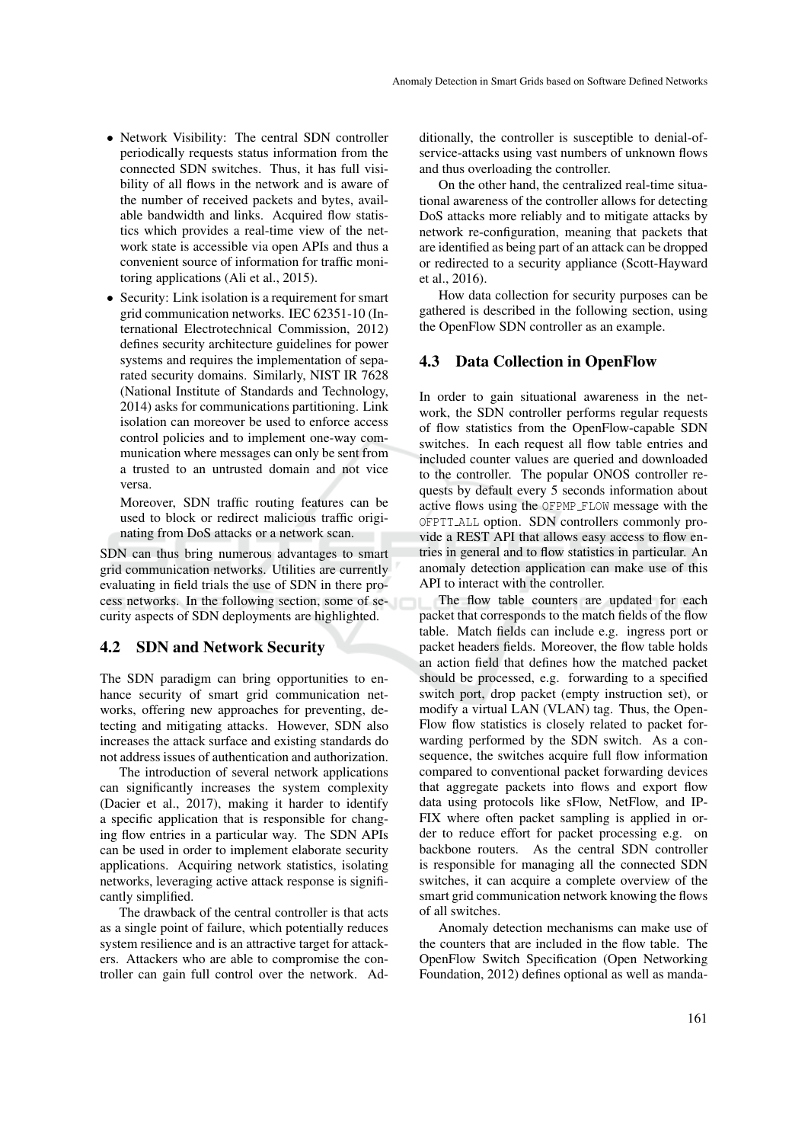- Network Visibility: The central SDN controller periodically requests status information from the connected SDN switches. Thus, it has full visibility of all flows in the network and is aware of the number of received packets and bytes, available bandwidth and links. Acquired flow statistics which provides a real-time view of the network state is accessible via open APIs and thus a convenient source of information for traffic monitoring applications (Ali et al., 2015).
- Security: Link isolation is a requirement for smart grid communication networks. IEC 62351-10 (International Electrotechnical Commission, 2012) defines security architecture guidelines for power systems and requires the implementation of separated security domains. Similarly, NIST IR 7628 (National Institute of Standards and Technology, 2014) asks for communications partitioning. Link isolation can moreover be used to enforce access control policies and to implement one-way communication where messages can only be sent from a trusted to an untrusted domain and not vice versa.

Moreover, SDN traffic routing features can be used to block or redirect malicious traffic originating from DoS attacks or a network scan.

SDN can thus bring numerous advantages to smart grid communication networks. Utilities are currently evaluating in field trials the use of SDN in there process networks. In the following section, some of security aspects of SDN deployments are highlighted.

### 4.2 SDN and Network Security

The SDN paradigm can bring opportunities to enhance security of smart grid communication networks, offering new approaches for preventing, detecting and mitigating attacks. However, SDN also increases the attack surface and existing standards do not address issues of authentication and authorization.

The introduction of several network applications can significantly increases the system complexity (Dacier et al., 2017), making it harder to identify a specific application that is responsible for changing flow entries in a particular way. The SDN APIs can be used in order to implement elaborate security applications. Acquiring network statistics, isolating networks, leveraging active attack response is significantly simplified.

The drawback of the central controller is that acts as a single point of failure, which potentially reduces system resilience and is an attractive target for attackers. Attackers who are able to compromise the controller can gain full control over the network. Additionally, the controller is susceptible to denial-ofservice-attacks using vast numbers of unknown flows and thus overloading the controller.

On the other hand, the centralized real-time situational awareness of the controller allows for detecting DoS attacks more reliably and to mitigate attacks by network re-configuration, meaning that packets that are identified as being part of an attack can be dropped or redirected to a security appliance (Scott-Hayward et al., 2016).

How data collection for security purposes can be gathered is described in the following section, using the OpenFlow SDN controller as an example.

#### 4.3 Data Collection in OpenFlow

In order to gain situational awareness in the network, the SDN controller performs regular requests of flow statistics from the OpenFlow-capable SDN switches. In each request all flow table entries and included counter values are queried and downloaded to the controller. The popular ONOS controller requests by default every 5 seconds information about active flows using the OFPMP FLOW message with the OFPTT ALL option. SDN controllers commonly provide a REST API that allows easy access to flow entries in general and to flow statistics in particular. An anomaly detection application can make use of this API to interact with the controller.

The flow table counters are updated for each packet that corresponds to the match fields of the flow table. Match fields can include e.g. ingress port or packet headers fields. Moreover, the flow table holds an action field that defines how the matched packet should be processed, e.g. forwarding to a specified switch port, drop packet (empty instruction set), or modify a virtual LAN (VLAN) tag. Thus, the Open-Flow flow statistics is closely related to packet forwarding performed by the SDN switch. As a consequence, the switches acquire full flow information compared to conventional packet forwarding devices that aggregate packets into flows and export flow data using protocols like sFlow, NetFlow, and IP-FIX where often packet sampling is applied in order to reduce effort for packet processing e.g. on backbone routers. As the central SDN controller is responsible for managing all the connected SDN switches, it can acquire a complete overview of the smart grid communication network knowing the flows of all switches.

Anomaly detection mechanisms can make use of the counters that are included in the flow table. The OpenFlow Switch Specification (Open Networking Foundation, 2012) defines optional as well as manda-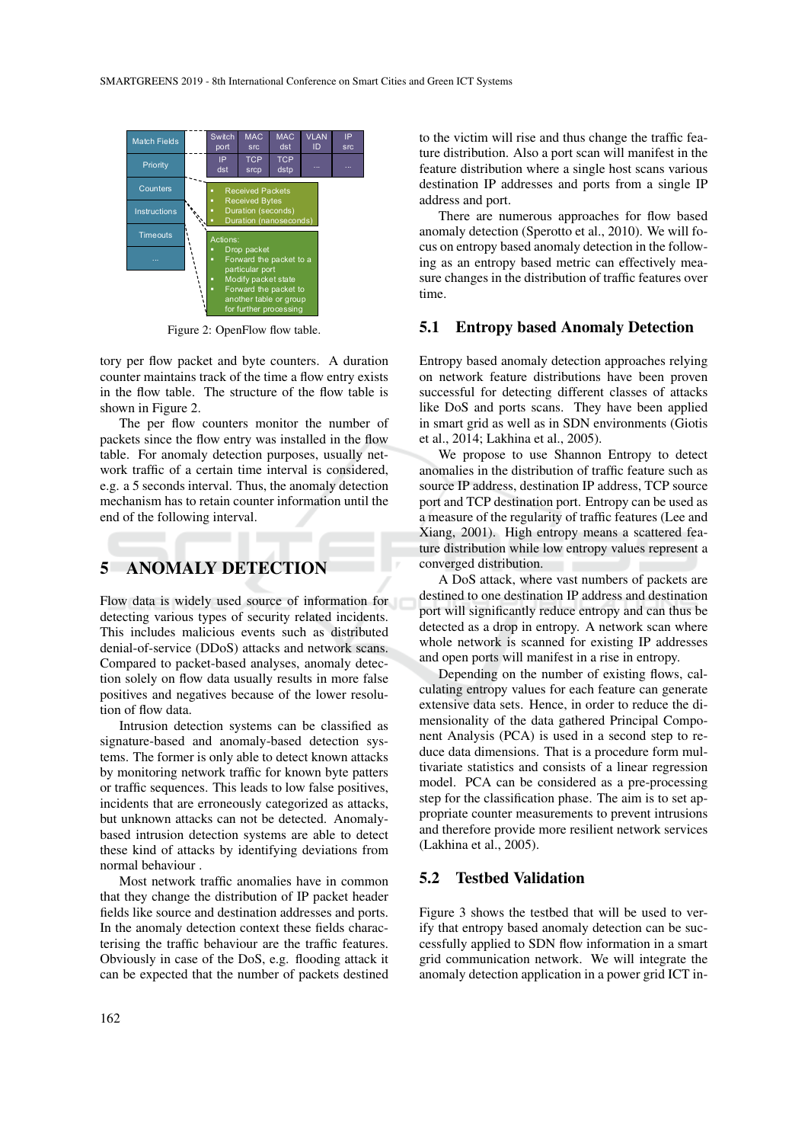

Figure 2: OpenFlow flow table.

tory per flow packet and byte counters. A duration counter maintains track of the time a flow entry exists in the flow table. The structure of the flow table is shown in Figure 2.

The per flow counters monitor the number of packets since the flow entry was installed in the flow table. For anomaly detection purposes, usually network traffic of a certain time interval is considered, e.g. a 5 seconds interval. Thus, the anomaly detection mechanism has to retain counter information until the end of the following interval.

## 5 ANOMALY DETECTION

Flow data is widely used source of information for detecting various types of security related incidents. This includes malicious events such as distributed denial-of-service (DDoS) attacks and network scans. Compared to packet-based analyses, anomaly detection solely on flow data usually results in more false positives and negatives because of the lower resolution of flow data.

Intrusion detection systems can be classified as signature-based and anomaly-based detection systems. The former is only able to detect known attacks by monitoring network traffic for known byte patters or traffic sequences. This leads to low false positives, incidents that are erroneously categorized as attacks, but unknown attacks can not be detected. Anomalybased intrusion detection systems are able to detect these kind of attacks by identifying deviations from normal behaviour .

Most network traffic anomalies have in common that they change the distribution of IP packet header fields like source and destination addresses and ports. In the anomaly detection context these fields characterising the traffic behaviour are the traffic features. Obviously in case of the DoS, e.g. flooding attack it can be expected that the number of packets destined

to the victim will rise and thus change the traffic feature distribution. Also a port scan will manifest in the feature distribution where a single host scans various destination IP addresses and ports from a single IP address and port.

There are numerous approaches for flow based anomaly detection (Sperotto et al., 2010). We will focus on entropy based anomaly detection in the following as an entropy based metric can effectively measure changes in the distribution of traffic features over time.

### 5.1 Entropy based Anomaly Detection

Entropy based anomaly detection approaches relying on network feature distributions have been proven successful for detecting different classes of attacks like DoS and ports scans. They have been applied in smart grid as well as in SDN environments (Giotis et al., 2014; Lakhina et al., 2005).

We propose to use Shannon Entropy to detect anomalies in the distribution of traffic feature such as source IP address, destination IP address, TCP source port and TCP destination port. Entropy can be used as a measure of the regularity of traffic features (Lee and Xiang, 2001). High entropy means a scattered feature distribution while low entropy values represent a converged distribution.

A DoS attack, where vast numbers of packets are destined to one destination IP address and destination port will significantly reduce entropy and can thus be detected as a drop in entropy. A network scan where whole network is scanned for existing IP addresses and open ports will manifest in a rise in entropy.

Depending on the number of existing flows, calculating entropy values for each feature can generate extensive data sets. Hence, in order to reduce the dimensionality of the data gathered Principal Component Analysis (PCA) is used in a second step to reduce data dimensions. That is a procedure form multivariate statistics and consists of a linear regression model. PCA can be considered as a pre-processing step for the classification phase. The aim is to set appropriate counter measurements to prevent intrusions and therefore provide more resilient network services (Lakhina et al., 2005).

## 5.2 Testbed Validation

Figure 3 shows the testbed that will be used to verify that entropy based anomaly detection can be successfully applied to SDN flow information in a smart grid communication network. We will integrate the anomaly detection application in a power grid ICT in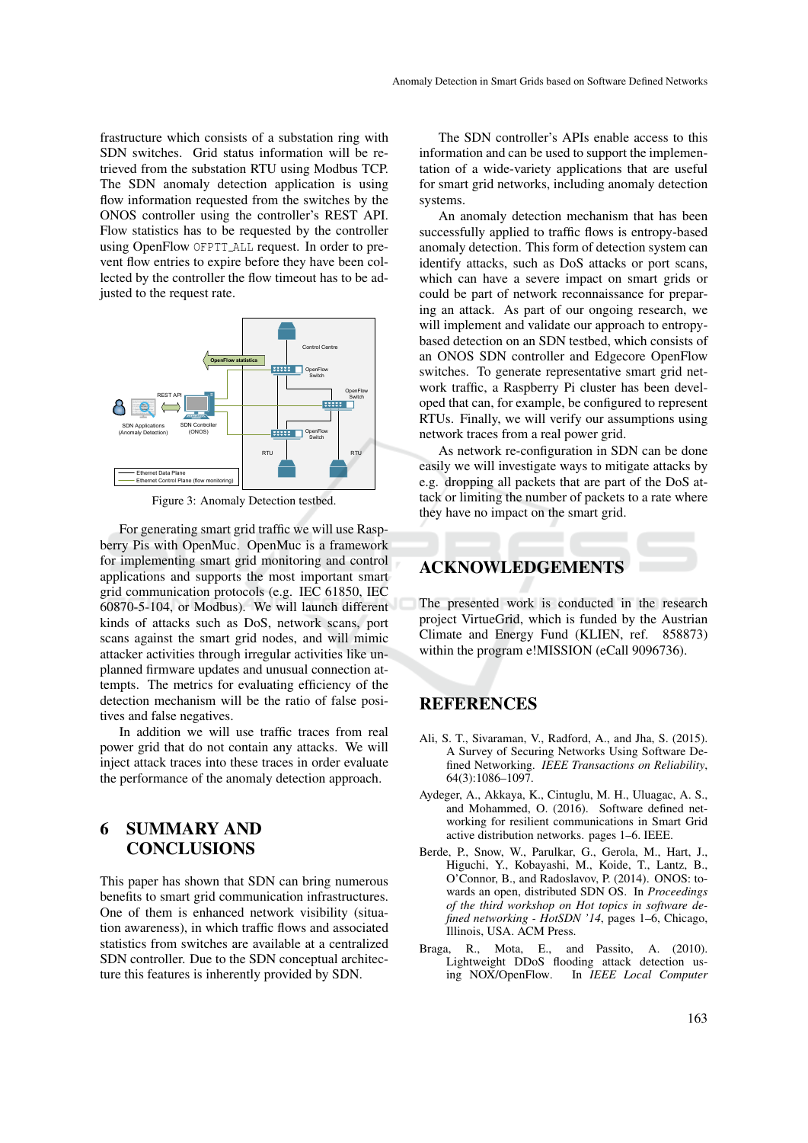frastructure which consists of a substation ring with SDN switches. Grid status information will be retrieved from the substation RTU using Modbus TCP. The SDN anomaly detection application is using flow information requested from the switches by the ONOS controller using the controller's REST API. Flow statistics has to be requested by the controller using OpenFlow OFPTT ALL request. In order to prevent flow entries to expire before they have been collected by the controller the flow timeout has to be adjusted to the request rate.



Figure 3: Anomaly Detection testbed.

For generating smart grid traffic we will use Raspberry Pis with OpenMuc. OpenMuc is a framework for implementing smart grid monitoring and control applications and supports the most important smart grid communication protocols (e.g. IEC 61850, IEC 60870-5-104, or Modbus). We will launch different kinds of attacks such as DoS, network scans, port scans against the smart grid nodes, and will mimic attacker activities through irregular activities like unplanned firmware updates and unusual connection attempts. The metrics for evaluating efficiency of the detection mechanism will be the ratio of false positives and false negatives.

In addition we will use traffic traces from real power grid that do not contain any attacks. We will inject attack traces into these traces in order evaluate the performance of the anomaly detection approach.

# 6 SUMMARY AND **CONCLUSIONS**

This paper has shown that SDN can bring numerous benefits to smart grid communication infrastructures. One of them is enhanced network visibility (situation awareness), in which traffic flows and associated statistics from switches are available at a centralized SDN controller. Due to the SDN conceptual architecture this features is inherently provided by SDN.

The SDN controller's APIs enable access to this information and can be used to support the implementation of a wide-variety applications that are useful for smart grid networks, including anomaly detection systems.

An anomaly detection mechanism that has been successfully applied to traffic flows is entropy-based anomaly detection. This form of detection system can identify attacks, such as DoS attacks or port scans, which can have a severe impact on smart grids or could be part of network reconnaissance for preparing an attack. As part of our ongoing research, we will implement and validate our approach to entropybased detection on an SDN testbed, which consists of an ONOS SDN controller and Edgecore OpenFlow switches. To generate representative smart grid network traffic, a Raspberry Pi cluster has been developed that can, for example, be configured to represent RTUs. Finally, we will verify our assumptions using network traces from a real power grid.

As network re-configuration in SDN can be done easily we will investigate ways to mitigate attacks by e.g. dropping all packets that are part of the DoS attack or limiting the number of packets to a rate where they have no impact on the smart grid.

## ACKNOWLEDGEMENTS

The presented work is conducted in the research project VirtueGrid, which is funded by the Austrian Climate and Energy Fund (KLIEN, ref. 858873) within the program e!MISSION (eCall 9096736).

## REFERENCES

- Ali, S. T., Sivaraman, V., Radford, A., and Jha, S. (2015). A Survey of Securing Networks Using Software Defined Networking. *IEEE Transactions on Reliability*, 64(3):1086–1097.
- Aydeger, A., Akkaya, K., Cintuglu, M. H., Uluagac, A. S., and Mohammed, O. (2016). Software defined networking for resilient communications in Smart Grid active distribution networks. pages 1–6. IEEE.
- Berde, P., Snow, W., Parulkar, G., Gerola, M., Hart, J., Higuchi, Y., Kobayashi, M., Koide, T., Lantz, B., O'Connor, B., and Radoslavov, P. (2014). ONOS: towards an open, distributed SDN OS. In *Proceedings of the third workshop on Hot topics in software defined networking - HotSDN '14*, pages 1–6, Chicago, Illinois, USA. ACM Press.
- Braga, R., Mota, E., and Passito, A. (2010). Lightweight DDoS flooding attack detection using NOX/OpenFlow. In *IEEE Local Computer*